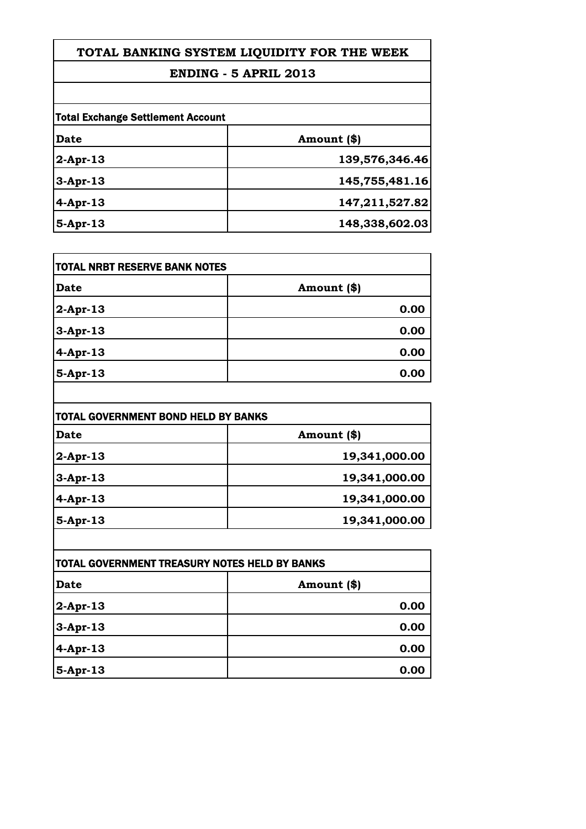# **TOTAL BANKING SYSTEM LIQUIDITY FOR THE WEEK**

### **ENDING - 5 APRIL 2013**

| <b>Total Exchange Settlement Account</b> |                |
|------------------------------------------|----------------|
| Date                                     | Amount (\$)    |
| $2$ -Apr-13                              | 139,576,346.46 |
| $3-Apr-13$                               | 145,755,481.16 |
| $4$ -Apr-13                              | 147,211,527.82 |
| 5-Apr-13                                 | 148,338,602.03 |

| <b>Date</b> | Amount (\$) |
|-------------|-------------|
| $2$ -Apr-13 | 0.00        |
| $3-Apr-13$  | 0.00        |
| $4$ -Apr-13 | 0.00        |
| $5-Apr-13$  | 0.00        |

| Date        | Amount (\$)   |
|-------------|---------------|
| $2$ -Apr-13 | 19,341,000.00 |
| $3-Apr-13$  | 19,341,000.00 |
| $4-Apr-13$  | 19,341,000.00 |
| $5-Apr-13$  | 19,341,000.00 |

| <b>TOTAL GOVERNMENT TREASURY NOTES HELD BY BANKS</b> |             |
|------------------------------------------------------|-------------|
| Date                                                 | Amount (\$) |
| $2$ -Apr-13                                          | 0.00        |
| $3-Apr-13$                                           | 0.00        |
| 4-Apr-13                                             | 0.00        |
| $5-Apr-13$                                           | 0.00        |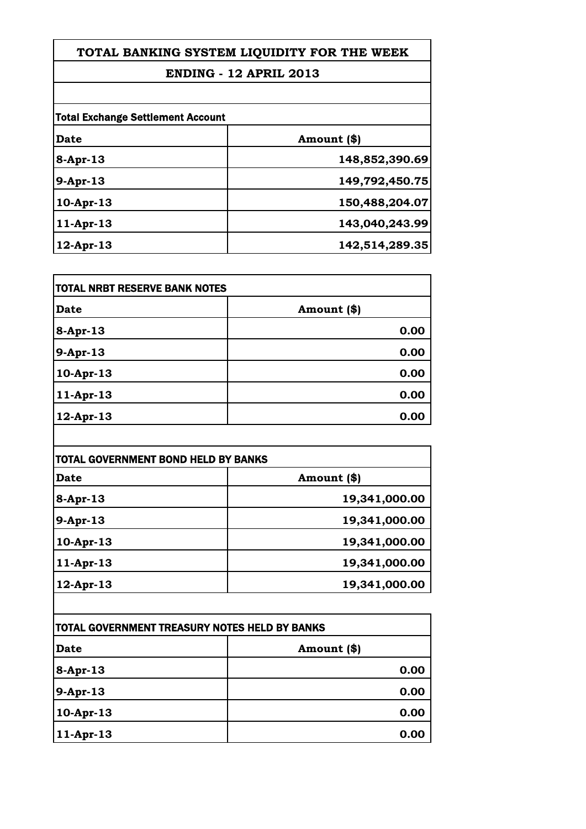# **TOTAL BANKING SYSTEM LIQUIDITY FOR THE WEEK**

### **ENDING - 12 APRIL 2013**

| <b>Total Exchange Settlement Account</b> |                |
|------------------------------------------|----------------|
| Date                                     | Amount (\$)    |
| $8-Apr-13$                               | 148,852,390.69 |
| $9-Apr-13$                               | 149,792,450.75 |
| $10-Apr-13$                              | 150,488,204.07 |
| $11-Apr-13$                              | 143,040,243.99 |
| $12$ -Apr-13                             | 142,514,289.35 |

| <b>TOTAL NRBT RESERVE BANK NOTES</b> |             |
|--------------------------------------|-------------|
| Date                                 | Amount (\$) |
| 8-Apr-13                             | 0.00        |
| 9-Apr-13                             | 0.00        |
| 10-Apr-13                            | 0.00        |
| $11-Apr-13$                          | 0.00        |
| $12$ -Apr-13                         | 0.00        |

| <b>TOTAL GOVERNMENT BOND HELD BY BANKS</b> |               |
|--------------------------------------------|---------------|
| Date                                       | Amount (\$)   |
| $8-Apr-13$                                 | 19,341,000.00 |
| $9-Apr-13$                                 | 19,341,000.00 |
| $10-Apr-13$                                | 19,341,000.00 |
| $11-Apr-13$                                | 19,341,000.00 |
| $12$ -Apr-13                               | 19,341,000.00 |

| TOTAL GOVERNMENT TREASURY NOTES HELD BY BANKS |             |
|-----------------------------------------------|-------------|
| <b>Date</b>                                   | Amount (\$) |
| $8 - Apr - 13$                                | 0.00        |
| 9-Apr-13                                      | 0.00        |
| $10-Apr-13$                                   | 0.00        |
| $11-Apr-13$                                   | 0.00        |